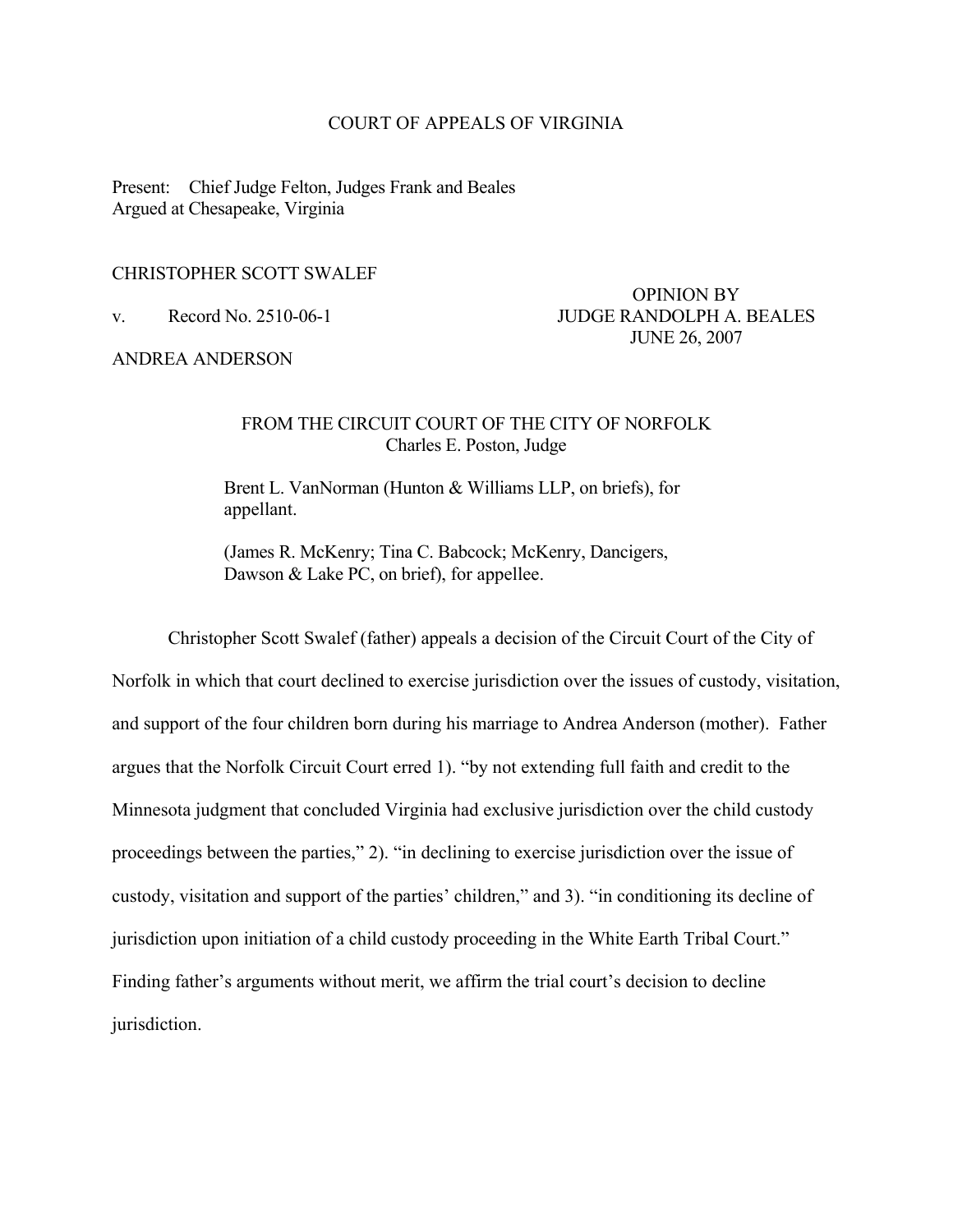#### COURT OF APPEALS OF VIRGINIA

Present: Chief Judge Felton, Judges Frank and Beales Argued at Chesapeake, Virginia

# CHRISTOPHER SCOTT SWALEF

ANDREA ANDERSON

 OPINION BY v. Record No. 2510-06-1 JUDGE RANDOLPH A. BEALES JUNE 26, 2007

### FROM THE CIRCUIT COURT OF THE CITY OF NORFOLK Charles E. Poston, Judge

 Brent L. VanNorman (Hunton & Williams LLP, on briefs), for appellant.

 (James R. McKenry; Tina C. Babcock; McKenry, Dancigers, Dawson & Lake PC, on brief), for appellee.

 Christopher Scott Swalef (father) appeals a decision of the Circuit Court of the City of Norfolk in which that court declined to exercise jurisdiction over the issues of custody, visitation, and support of the four children born during his marriage to Andrea Anderson (mother). Father argues that the Norfolk Circuit Court erred 1). "by not extending full faith and credit to the Minnesota judgment that concluded Virginia had exclusive jurisdiction over the child custody proceedings between the parties," 2). "in declining to exercise jurisdiction over the issue of custody, visitation and support of the parties' children," and 3). "in conditioning its decline of jurisdiction upon initiation of a child custody proceeding in the White Earth Tribal Court." Finding father's arguments without merit, we affirm the trial court's decision to decline jurisdiction.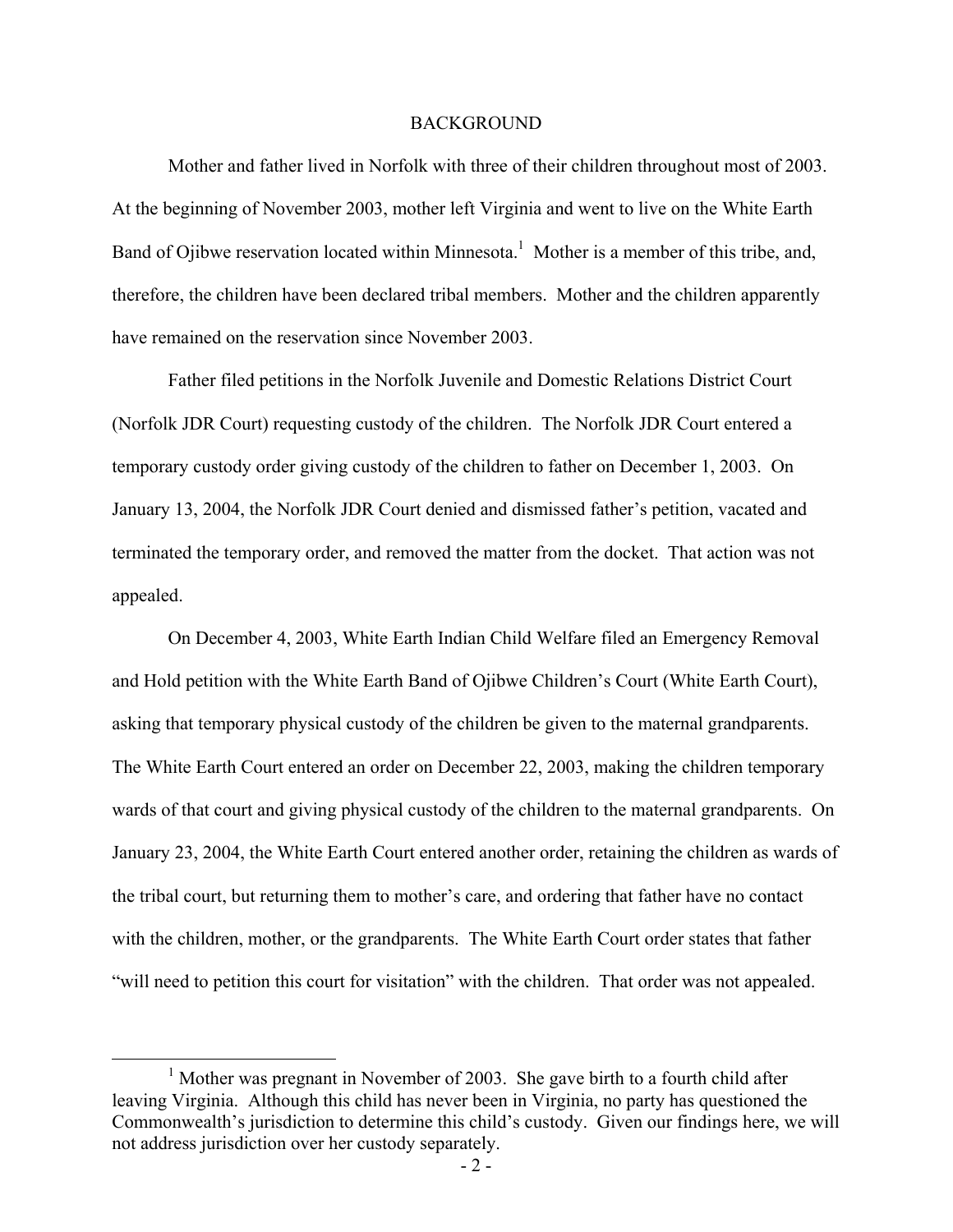#### **BACKGROUND**

 Mother and father lived in Norfolk with three of their children throughout most of 2003. At the beginning of November 2003, mother left Virginia and went to live on the White Earth Band of Ojibwe reservation located within Minnesota.<sup>1</sup> Mother is a member of this tribe, and, therefore, the children have been declared tribal members. Mother and the children apparently have remained on the reservation since November 2003.

 Father filed petitions in the Norfolk Juvenile and Domestic Relations District Court (Norfolk JDR Court) requesting custody of the children. The Norfolk JDR Court entered a temporary custody order giving custody of the children to father on December 1, 2003. On January 13, 2004, the Norfolk JDR Court denied and dismissed father's petition, vacated and terminated the temporary order, and removed the matter from the docket. That action was not appealed.

 On December 4, 2003, White Earth Indian Child Welfare filed an Emergency Removal and Hold petition with the White Earth Band of Ojibwe Children's Court (White Earth Court), asking that temporary physical custody of the children be given to the maternal grandparents. The White Earth Court entered an order on December 22, 2003, making the children temporary wards of that court and giving physical custody of the children to the maternal grandparents. On January 23, 2004, the White Earth Court entered another order, retaining the children as wards of the tribal court, but returning them to mother's care, and ordering that father have no contact with the children, mother, or the grandparents. The White Earth Court order states that father "will need to petition this court for visitation" with the children. That order was not appealed.

<sup>&</sup>lt;u>1</u>  $<sup>1</sup>$  Mother was pregnant in November of 2003. She gave birth to a fourth child after</sup> leaving Virginia. Although this child has never been in Virginia, no party has questioned the Commonwealth's jurisdiction to determine this child's custody. Given our findings here, we will not address jurisdiction over her custody separately.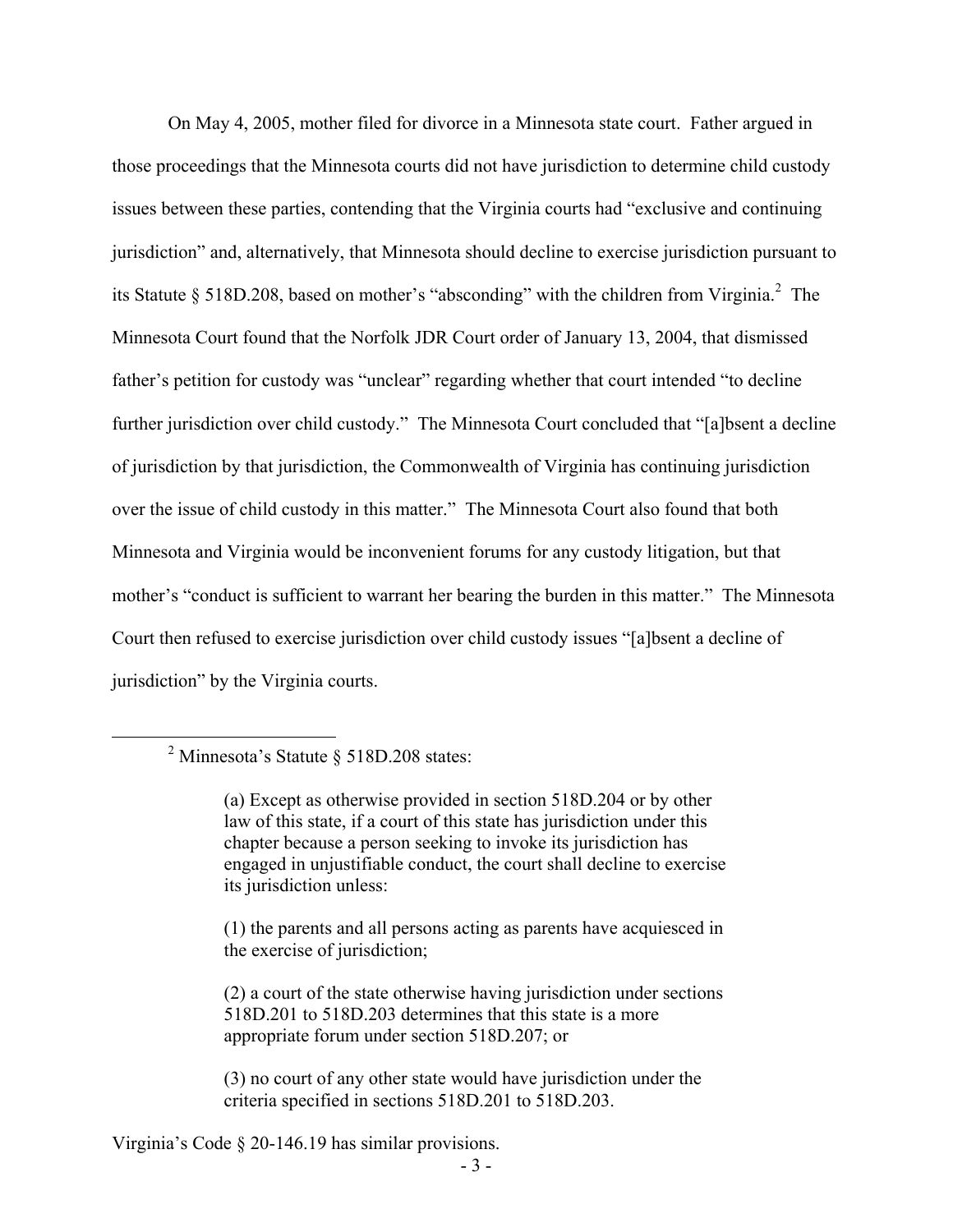On May 4, 2005, mother filed for divorce in a Minnesota state court. Father argued in those proceedings that the Minnesota courts did not have jurisdiction to determine child custody issues between these parties, contending that the Virginia courts had "exclusive and continuing jurisdiction" and, alternatively, that Minnesota should decline to exercise jurisdiction pursuant to its Statute § 518D.208, based on mother's "absconding" with the children from Virginia.<sup>2</sup> The Minnesota Court found that the Norfolk JDR Court order of January 13, 2004, that dismissed father's petition for custody was "unclear" regarding whether that court intended "to decline further jurisdiction over child custody." The Minnesota Court concluded that "[a]bsent a decline of jurisdiction by that jurisdiction, the Commonwealth of Virginia has continuing jurisdiction over the issue of child custody in this matter." The Minnesota Court also found that both Minnesota and Virginia would be inconvenient forums for any custody litigation, but that mother's "conduct is sufficient to warrant her bearing the burden in this matter." The Minnesota Court then refused to exercise jurisdiction over child custody issues "[a]bsent a decline of jurisdiction" by the Virginia courts.

(2) a court of the state otherwise having jurisdiction under sections 518D.201 to 518D.203 determines that this state is a more appropriate forum under section 518D.207; or

(3) no court of any other state would have jurisdiction under the criteria specified in sections 518D.201 to 518D.203.

Virginia's Code § 20-146.19 has similar provisions.

 <sup>2</sup> <sup>2</sup> Minnesota's Statute  $\S$  518D.208 states:

<sup>(</sup>a) Except as otherwise provided in section 518D.204 or by other law of this state, if a court of this state has jurisdiction under this chapter because a person seeking to invoke its jurisdiction has engaged in unjustifiable conduct, the court shall decline to exercise its jurisdiction unless:

<sup>(1)</sup> the parents and all persons acting as parents have acquiesced in the exercise of jurisdiction;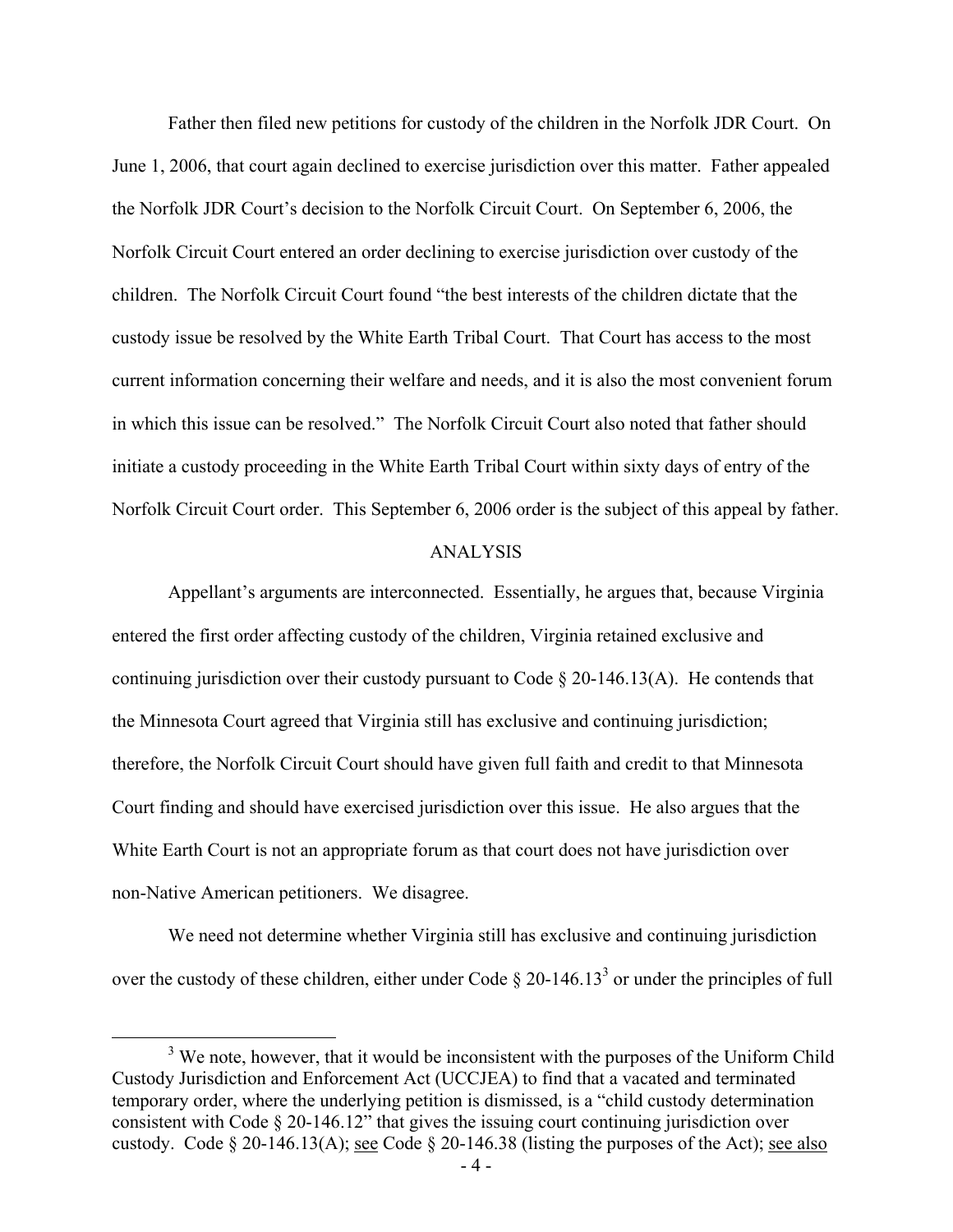Father then filed new petitions for custody of the children in the Norfolk JDR Court. On June 1, 2006, that court again declined to exercise jurisdiction over this matter. Father appealed the Norfolk JDR Court's decision to the Norfolk Circuit Court. On September 6, 2006, the Norfolk Circuit Court entered an order declining to exercise jurisdiction over custody of the children. The Norfolk Circuit Court found "the best interests of the children dictate that the custody issue be resolved by the White Earth Tribal Court. That Court has access to the most current information concerning their welfare and needs, and it is also the most convenient forum in which this issue can be resolved." The Norfolk Circuit Court also noted that father should initiate a custody proceeding in the White Earth Tribal Court within sixty days of entry of the Norfolk Circuit Court order. This September 6, 2006 order is the subject of this appeal by father.

#### ANALYSIS

 Appellant's arguments are interconnected. Essentially, he argues that, because Virginia entered the first order affecting custody of the children, Virginia retained exclusive and continuing jurisdiction over their custody pursuant to Code  $\S$  20-146.13(A). He contends that the Minnesota Court agreed that Virginia still has exclusive and continuing jurisdiction; therefore, the Norfolk Circuit Court should have given full faith and credit to that Minnesota Court finding and should have exercised jurisdiction over this issue. He also argues that the White Earth Court is not an appropriate forum as that court does not have jurisdiction over non-Native American petitioners. We disagree.

We need not determine whether Virginia still has exclusive and continuing jurisdiction over the custody of these children, either under Code  $\S 20$ -146.13<sup>3</sup> or under the principles of full

 $\frac{1}{3}$  $3$  We note, however, that it would be inconsistent with the purposes of the Uniform Child Custody Jurisdiction and Enforcement Act (UCCJEA) to find that a vacated and terminated temporary order, where the underlying petition is dismissed, is a "child custody determination consistent with Code § 20-146.12" that gives the issuing court continuing jurisdiction over custody. Code § 20-146.13(A); see Code § 20-146.38 (listing the purposes of the Act); see also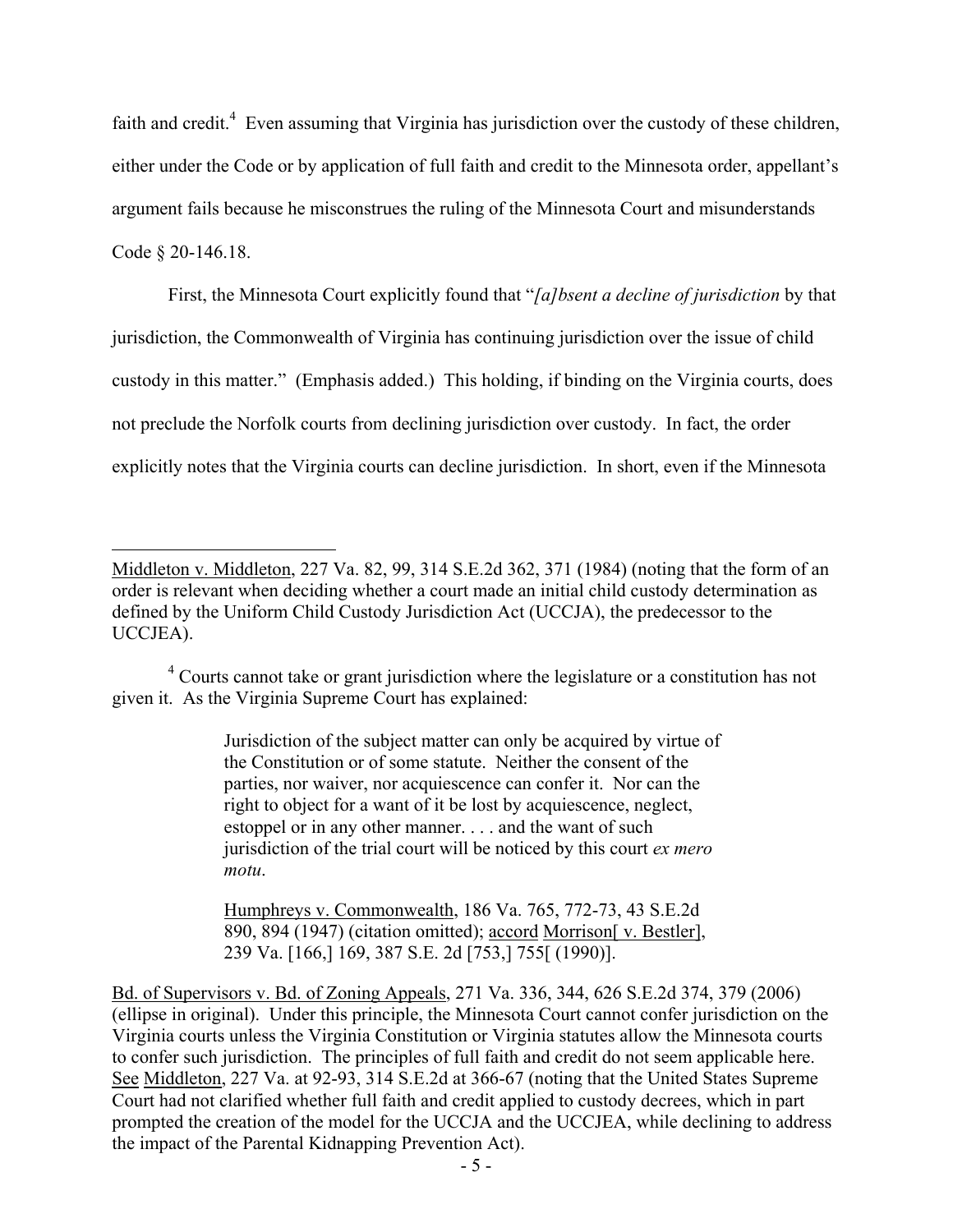faith and credit. $4$  Even assuming that Virginia has jurisdiction over the custody of these children, either under the Code or by application of full faith and credit to the Minnesota order, appellant's argument fails because he misconstrues the ruling of the Minnesota Court and misunderstands Code § 20-146.18.

 First, the Minnesota Court explicitly found that "*[a]bsent a decline of jurisdiction* by that jurisdiction, the Commonwealth of Virginia has continuing jurisdiction over the issue of child custody in this matter." (Emphasis added.) This holding, if binding on the Virginia courts, does not preclude the Norfolk courts from declining jurisdiction over custody. In fact, the order explicitly notes that the Virginia courts can decline jurisdiction. In short, even if the Minnesota

 $\overline{a}$ 

<sup>4</sup> Courts cannot take or grant jurisdiction where the legislature or a constitution has not given it. As the Virginia Supreme Court has explained:

> Jurisdiction of the subject matter can only be acquired by virtue of the Constitution or of some statute. Neither the consent of the parties, nor waiver, nor acquiescence can confer it. Nor can the right to object for a want of it be lost by acquiescence, neglect, estoppel or in any other manner. . . . and the want of such jurisdiction of the trial court will be noticed by this court *ex mero motu*.

Humphreys v. Commonwealth, 186 Va. 765, 772-73, 43 S.E.2d 890, 894 (1947) (citation omitted); accord Morrison[ v. Bestler], 239 Va. [166,] 169, 387 S.E. 2d [753,] 755[ (1990)].

Bd. of Supervisors v. Bd. of Zoning Appeals, 271 Va. 336, 344, 626 S.E.2d 374, 379 (2006) (ellipse in original). Under this principle, the Minnesota Court cannot confer jurisdiction on the Virginia courts unless the Virginia Constitution or Virginia statutes allow the Minnesota courts to confer such jurisdiction. The principles of full faith and credit do not seem applicable here. See Middleton, 227 Va. at 92-93, 314 S.E.2d at 366-67 (noting that the United States Supreme Court had not clarified whether full faith and credit applied to custody decrees, which in part prompted the creation of the model for the UCCJA and the UCCJEA, while declining to address the impact of the Parental Kidnapping Prevention Act).

Middleton v. Middleton, 227 Va. 82, 99, 314 S.E.2d 362, 371 (1984) (noting that the form of an order is relevant when deciding whether a court made an initial child custody determination as defined by the Uniform Child Custody Jurisdiction Act (UCCJA), the predecessor to the UCCJEA).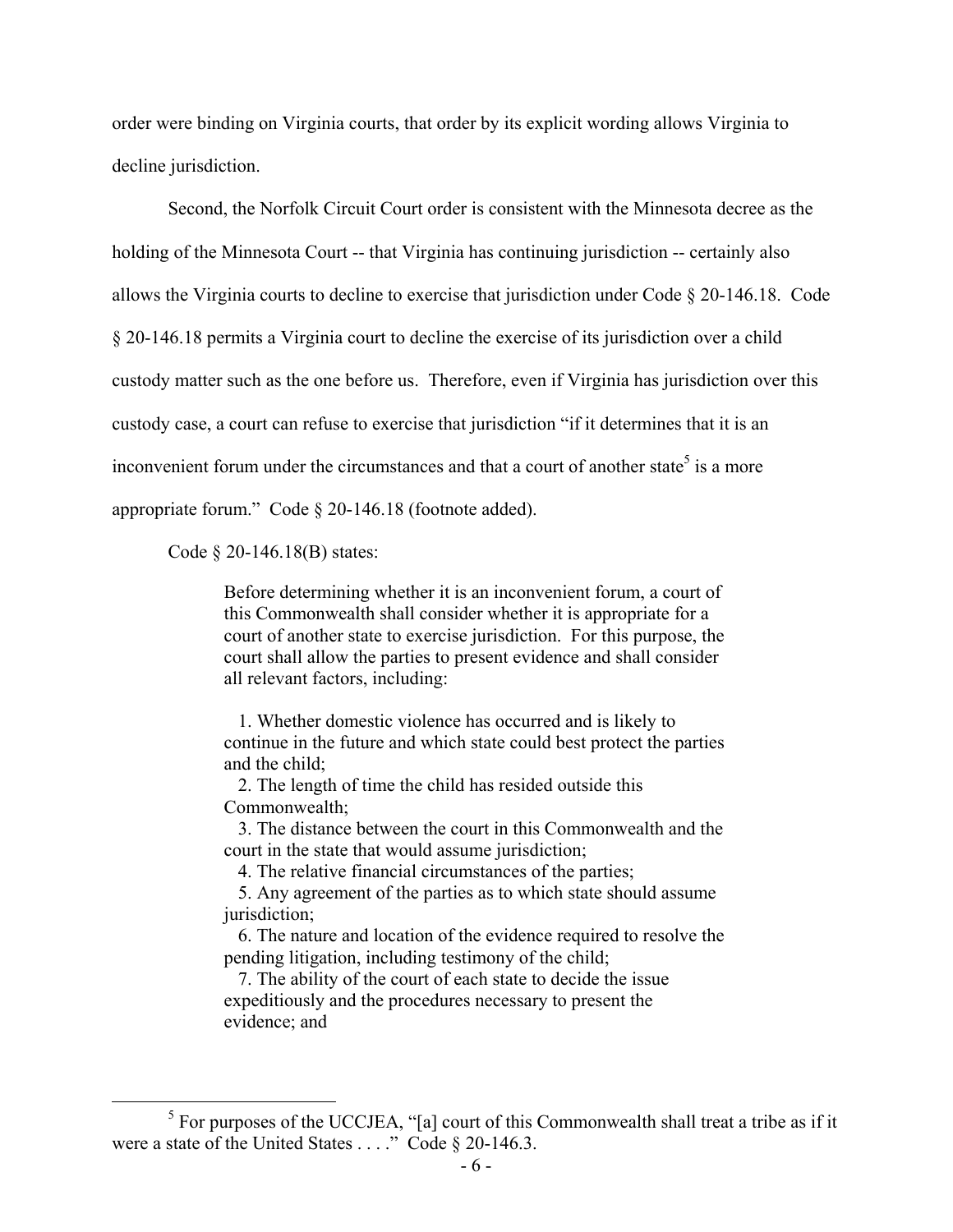order were binding on Virginia courts, that order by its explicit wording allows Virginia to decline jurisdiction.

 Second, the Norfolk Circuit Court order is consistent with the Minnesota decree as the holding of the Minnesota Court -- that Virginia has continuing jurisdiction -- certainly also allows the Virginia courts to decline to exercise that jurisdiction under Code § 20-146.18. Code § 20-146.18 permits a Virginia court to decline the exercise of its jurisdiction over a child custody matter such as the one before us. Therefore, even if Virginia has jurisdiction over this custody case, a court can refuse to exercise that jurisdiction "if it determines that it is an inconvenient forum under the circumstances and that a court of another state<sup>5</sup> is a more appropriate forum." Code § 20-146.18 (footnote added).

Code § 20-146.18(B) states:

Before determining whether it is an inconvenient forum, a court of this Commonwealth shall consider whether it is appropriate for a court of another state to exercise jurisdiction. For this purpose, the court shall allow the parties to present evidence and shall consider all relevant factors, including:

 1. Whether domestic violence has occurred and is likely to continue in the future and which state could best protect the parties and the child;

 2. The length of time the child has resided outside this Commonwealth;

 3. The distance between the court in this Commonwealth and the court in the state that would assume jurisdiction;

4. The relative financial circumstances of the parties;

 5. Any agreement of the parties as to which state should assume jurisdiction;

 6. The nature and location of the evidence required to resolve the pending litigation, including testimony of the child;

 7. The ability of the court of each state to decide the issue expeditiously and the procedures necessary to present the evidence; and

 $rac{1}{5}$  $<sup>5</sup>$  For purposes of the UCCJEA, "[a] court of this Commonwealth shall treat a tribe as if it</sup> were a state of the United States . . . ." Code § 20-146.3.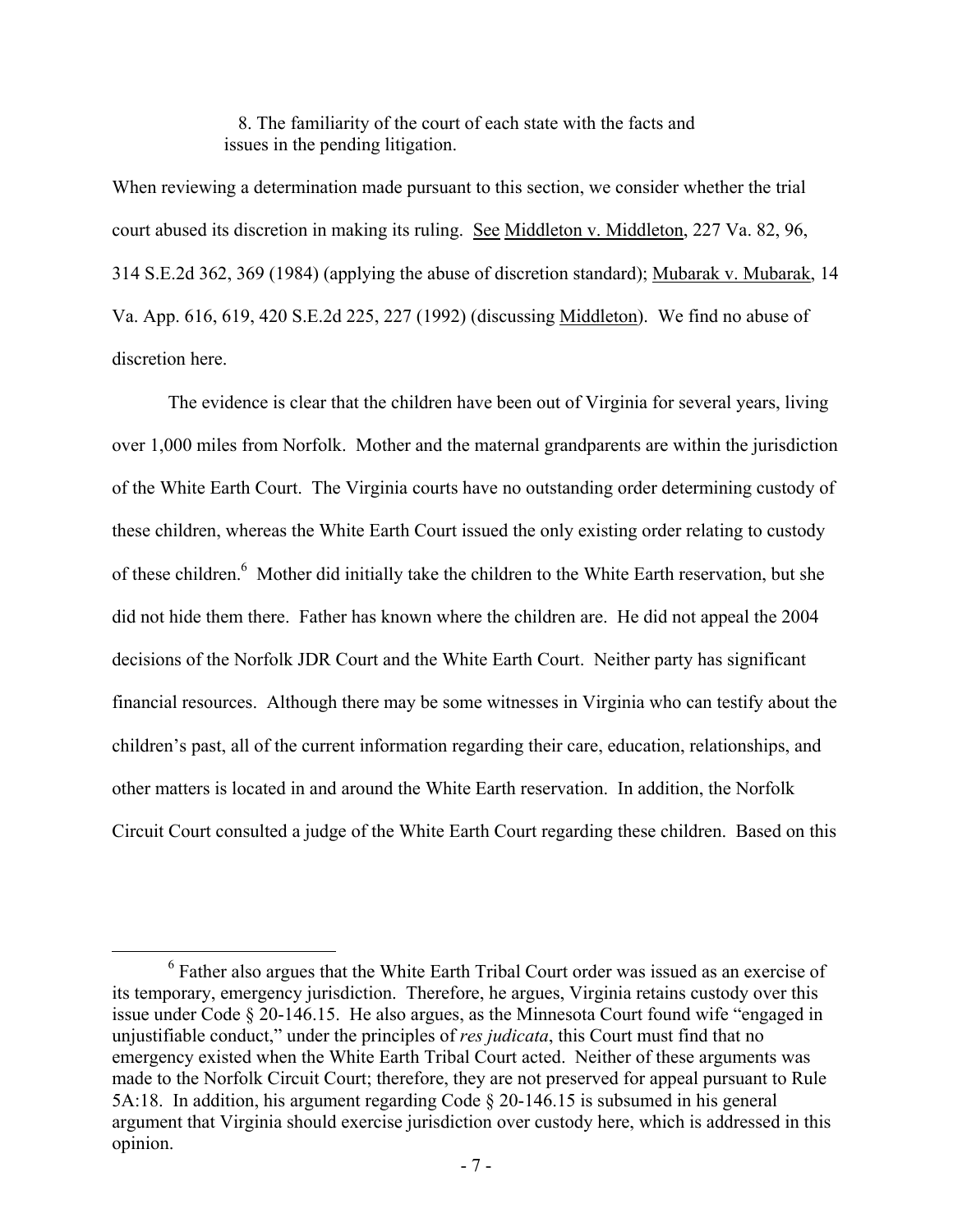8. The familiarity of the court of each state with the facts and issues in the pending litigation.

When reviewing a determination made pursuant to this section, we consider whether the trial court abused its discretion in making its ruling. See Middleton v. Middleton, 227 Va. 82, 96, 314 S.E.2d 362, 369 (1984) (applying the abuse of discretion standard); Mubarak v. Mubarak, 14 Va. App. 616, 619, 420 S.E.2d 225, 227 (1992) (discussing Middleton). We find no abuse of discretion here

 The evidence is clear that the children have been out of Virginia for several years, living over 1,000 miles from Norfolk. Mother and the maternal grandparents are within the jurisdiction of the White Earth Court. The Virginia courts have no outstanding order determining custody of these children, whereas the White Earth Court issued the only existing order relating to custody of these children.<sup>6</sup> Mother did initially take the children to the White Earth reservation, but she did not hide them there. Father has known where the children are. He did not appeal the 2004 decisions of the Norfolk JDR Court and the White Earth Court. Neither party has significant financial resources. Although there may be some witnesses in Virginia who can testify about the children's past, all of the current information regarding their care, education, relationships, and other matters is located in and around the White Earth reservation. In addition, the Norfolk Circuit Court consulted a judge of the White Earth Court regarding these children. Based on this

 <sup>6</sup>  $<sup>6</sup>$  Father also argues that the White Earth Tribal Court order was issued as an exercise of</sup> its temporary, emergency jurisdiction. Therefore, he argues, Virginia retains custody over this issue under Code § 20-146.15. He also argues, as the Minnesota Court found wife "engaged in unjustifiable conduct," under the principles of *res judicata*, this Court must find that no emergency existed when the White Earth Tribal Court acted. Neither of these arguments was made to the Norfolk Circuit Court; therefore, they are not preserved for appeal pursuant to Rule 5A:18. In addition, his argument regarding Code § 20-146.15 is subsumed in his general argument that Virginia should exercise jurisdiction over custody here, which is addressed in this opinion.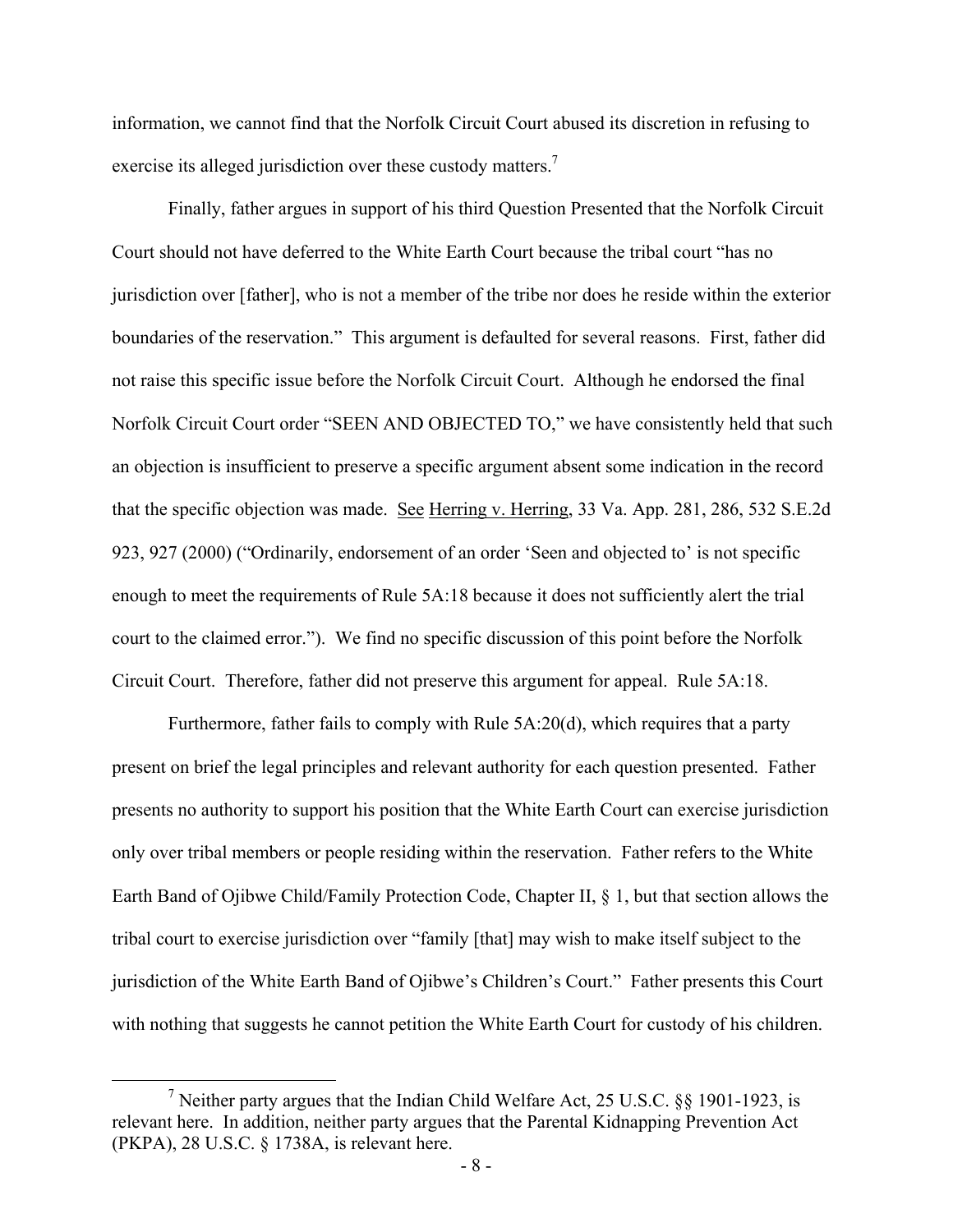information, we cannot find that the Norfolk Circuit Court abused its discretion in refusing to exercise its alleged jurisdiction over these custody matters.<sup>7</sup>

 Finally, father argues in support of his third Question Presented that the Norfolk Circuit Court should not have deferred to the White Earth Court because the tribal court "has no jurisdiction over [father], who is not a member of the tribe nor does he reside within the exterior boundaries of the reservation." This argument is defaulted for several reasons. First, father did not raise this specific issue before the Norfolk Circuit Court. Although he endorsed the final Norfolk Circuit Court order "SEEN AND OBJECTED TO," we have consistently held that such an objection is insufficient to preserve a specific argument absent some indication in the record that the specific objection was made. See Herring v. Herring, 33 Va. App. 281, 286, 532 S.E.2d 923, 927 (2000) ("Ordinarily, endorsement of an order 'Seen and objected to' is not specific enough to meet the requirements of Rule 5A:18 because it does not sufficiently alert the trial court to the claimed error."). We find no specific discussion of this point before the Norfolk Circuit Court. Therefore, father did not preserve this argument for appeal. Rule 5A:18.

 Furthermore, father fails to comply with Rule 5A:20(d), which requires that a party present on brief the legal principles and relevant authority for each question presented. Father presents no authority to support his position that the White Earth Court can exercise jurisdiction only over tribal members or people residing within the reservation. Father refers to the White Earth Band of Ojibwe Child/Family Protection Code, Chapter II, § 1, but that section allows the tribal court to exercise jurisdiction over "family [that] may wish to make itself subject to the jurisdiction of the White Earth Band of Ojibwe's Children's Court." Father presents this Court with nothing that suggests he cannot petition the White Earth Court for custody of his children.

 $\frac{1}{7}$ <sup>7</sup> Neither party argues that the Indian Child Welfare Act, 25 U.S.C.  $\&$  1901-1923, is relevant here. In addition, neither party argues that the Parental Kidnapping Prevention Act (PKPA), 28 U.S.C. § 1738A, is relevant here.